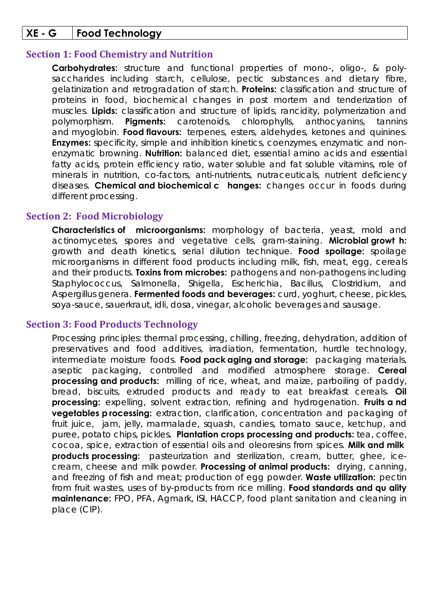# **XE - G Food Technology**

#### **Section 1: Food Chemistry and Nutrition**

**Carbohydrates:** structure and functional properties of mono-, oligo-, & polysaccharides including starch, cellulose, pectic substances and dietary fibre, gelatinization and retrogradation of starch. **Proteins:** classification and structure of proteins in food, biochemical changes in post mortem and tenderization of muscles. **Lipids:** classification and structure of lipids, rancidity, polymerization and polymorphism. **Pigments:** carotenoids, chlorophylls, anthocyanins, tannins and myoglobin. **Food flavours:** terpenes, esters, aldehydes, ketones and quinines. **Enzymes:** specificity, simple and inhibition kinetics, coenzymes, enzymatic and nonenzymatic browning. **Nutrition:** balanced diet, essential amino acids and essential fatty acids, protein efficiency ratio, water soluble and fat soluble vitamins, role of minerals in nutrition, co-factors, anti-nutrients, nutraceuticals, nutrient deficiency diseases. **Chemical and biochemical c hanges:** changes occur in foods during different processing.

#### **Section 2: Food Microbiology**

**Characteristics of microorganisms:** morphology of bacteria, yeast, mold and actinomycetes, spores and vegetative cells, gram-staining. **Microbial growt h:** growth and death kinetics, serial dilution technique. **Food spoilage:** spoilage microorganisms in different food products including milk, fish, meat, egg, cereals and their products. **Toxins from microbes:** pathogens and non-pathogens including Staphylococcus, Salmonella, Shigella, Escherichia, Bacillus, Clostridium, and Aspergillus genera. **Fermented foods and beverages:** curd, yoghurt, cheese, pickles, soya-sauce, sauerkraut, idli, dosa, vinegar, alcoholic beverages and sausage.

### **Section 3: Food Products Technology**

Processing principles: thermal processing, chilling, freezing, dehydration, addition of preservatives and food additives, irradiation, fermentation, hurdle technology, intermediate moisture foods. **Food pack aging and storage:** packaging materials, aseptic packaging, controlled and modified atmosphere storage. **Cereal processing and products:** milling of rice, wheat, and maize, parboiling of paddy, bread, biscuits, extruded products and ready to eat breakfast cereals. **Oil processing:** expelling, solvent extraction, refining and hydrogenation. **Fruits a nd vegetables p rocessing:** extraction, clarification, concentration and packaging of fruit juice, jam, jelly, marmalade, squash, candies, tomato sauce, ketchup, and puree, potato chips, pickles**. Plantation crops processing and products:** tea, coffee, cocoa, spice, extraction of essential oils and oleoresins from spices. **Milk and milk products processing:** pasteurization and sterilization, cream, butter, ghee, icecream, cheese and milk powder. **Processing of animal products:** drying, canning, and freezing of fish and meat; production of egg powder. **Waste utilization:** pectin from fruit wastes, uses of by-products from rice milling. **Food standards and qu ality maintenance:** FPO, PFA, Agmark, ISI, HACCP, food plant sanitation and cleaning in place (CIP).